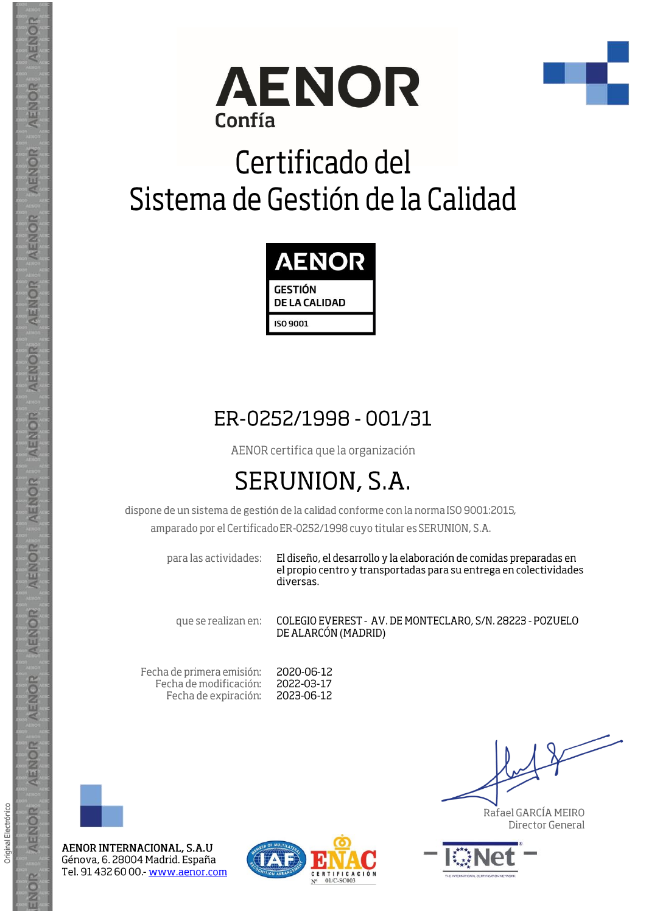



## Certificado del Sistema de Gestión de la Calidad



## ER-0252/1998 - 001/31

AENOR certifica que la organización

## **SERUNION, S.A.**

dispone de un sistema de gestión de la calidad conforme con la norma ISO 9001:2015,

amparado por el Certificado ER-0252/1998 cuyo titular es SERUNION, S.A.

para las actividades:

El diseño, el desarrollo y la elaboración de comidas preparadas en el propio centro y transportadas para su entrega en colectividades diversas.

que se realizan en:

COLEGIO EVEREST - AV. DE MONTECLARO, S/N. 28223 - POZUELO DE ALARCÓN (MADRID)

Fecha de primera emisión: Fecha de modificación: Fecha de expiración: 2020-06-12 2022-03-17 2023-06-12



**AENOR** 

AENOR

AENOR

AENOR

AENOR

AENOR

**AENOR** 

AENOR

**AENOR** 

AENOR

AENOR

AENOR

AENOR

ENOR

Original Electrónico

AENOR INTERNACIONAL, S.A.U Génova, 6. 28004 Madrid. España Tel. 91 432 60 00 - www.aenor.com



Rafael GARCÍA MEIRO Director General